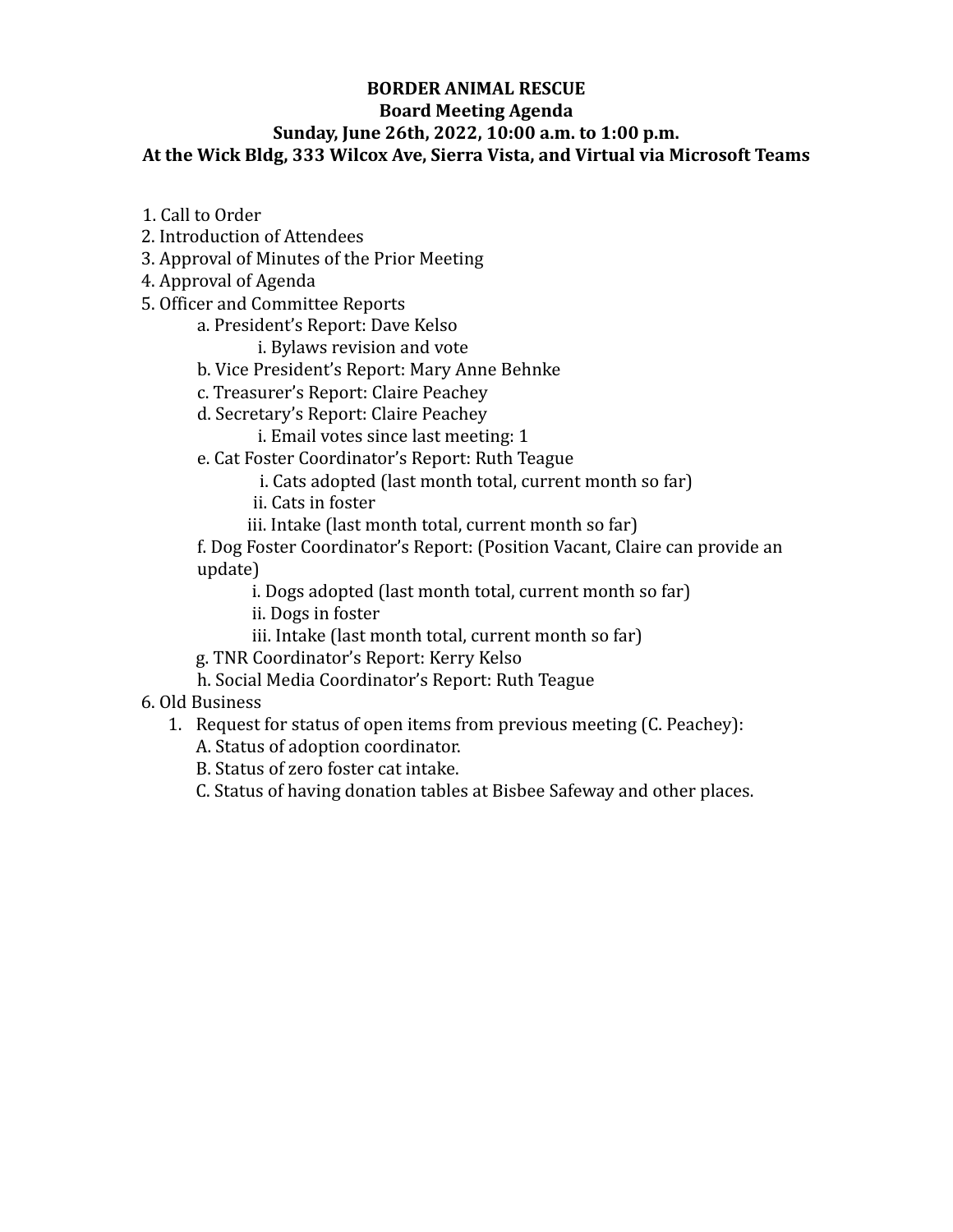## **BORDER ANIMAL RESCUE Board Meeting Agenda Sunday, June 26th, 2022, 10:00 a.m. to 1:00 p.m. At the Wick Bldg, 333 Wilcox Ave, Sierra Vista, and Virtual via Microsoft Teams**

- 1. Call to Order
- 2. Introduction of Attendees
- 3. Approval of Minutes of the Prior Meeting
- 4. Approval of Agenda
- 5. Officer and Committee Reports
	- a. President's Report: Dave Kelso
		- i. Bylaws revision and vote
	- b. Vice President's Report: Mary Anne Behnke
	- c. Treasurer's Report: Claire Peachey
	- d. Secretary's Report: Claire Peachey
		- i. Email votes since last meeting: 1
	- e. Cat Foster Coordinator's Report: Ruth Teague
		- i. Cats adopted (last month total, current month so far)
		- ii. Cats in foster
		- iii. Intake (last month total, current month so far)

f. Dog Foster Coordinator's Report: (Position Vacant, Claire can provide an update)

i. Dogs adopted (last month total, current month so far)

ii. Dogs in foster

- iii. Intake (last month total, current month so far)
- g. TNR Coordinator's Report: Kerry Kelso
- h. Social Media Coordinator's Report: Ruth Teague
- 6. Old Business
	- 1. Request for status of open items from previous meeting (C. Peachey):
		- A. Status of adoption coordinator.
		- B. Status of zero foster cat intake.
		- C. Status of having donation tables at Bisbee Safeway and other places.